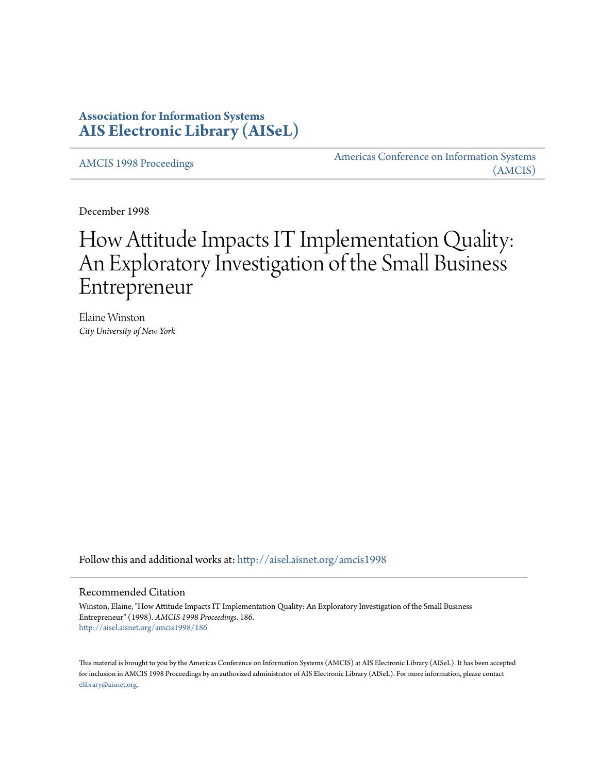# **Association for Information Systems [AIS Electronic Library \(AISeL\)](http://aisel.aisnet.org?utm_source=aisel.aisnet.org%2Famcis1998%2F186&utm_medium=PDF&utm_campaign=PDFCoverPages)**

[AMCIS 1998 Proceedings](http://aisel.aisnet.org/amcis1998?utm_source=aisel.aisnet.org%2Famcis1998%2F186&utm_medium=PDF&utm_campaign=PDFCoverPages)

[Americas Conference on Information Systems](http://aisel.aisnet.org/amcis?utm_source=aisel.aisnet.org%2Famcis1998%2F186&utm_medium=PDF&utm_campaign=PDFCoverPages) [\(AMCIS\)](http://aisel.aisnet.org/amcis?utm_source=aisel.aisnet.org%2Famcis1998%2F186&utm_medium=PDF&utm_campaign=PDFCoverPages)

December 1998

# How Attitude Impacts IT Implementation Quality: An Exploratory Investigation of the Small Business Entrepreneur

Elaine Winston *City University of New York*

Follow this and additional works at: [http://aisel.aisnet.org/amcis1998](http://aisel.aisnet.org/amcis1998?utm_source=aisel.aisnet.org%2Famcis1998%2F186&utm_medium=PDF&utm_campaign=PDFCoverPages)

#### Recommended Citation

Winston, Elaine, "How Attitude Impacts IT Implementation Quality: An Exploratory Investigation of the Small Business Entrepreneur" (1998). *AMCIS 1998 Proceedings*. 186. [http://aisel.aisnet.org/amcis1998/186](http://aisel.aisnet.org/amcis1998/186?utm_source=aisel.aisnet.org%2Famcis1998%2F186&utm_medium=PDF&utm_campaign=PDFCoverPages)

This material is brought to you by the Americas Conference on Information Systems (AMCIS) at AIS Electronic Library (AISeL). It has been accepted for inclusion in AMCIS 1998 Proceedings by an authorized administrator of AIS Electronic Library (AISeL). For more information, please contact [elibrary@aisnet.org.](mailto:elibrary@aisnet.org%3E)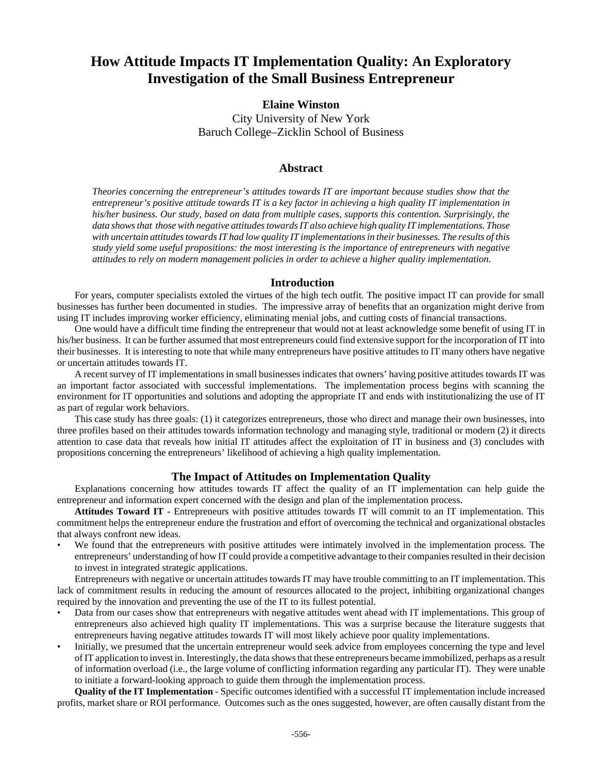# **How Attitude Impacts IT Implementation Quality: An Exploratory Investigation of the Small Business Entrepreneur**

# **Elaine Winston**

City University of New York Baruch College–Zicklin School of Business

## **Abstract**

*Theories concerning the entrepreneur's attitudes towards IT are important because studies show that the entrepreneur's positive attitude towards IT is a key factor in achieving a high quality IT implementation in his/her business. Our study, based on data from multiple cases, supports this contention. Surprisingly, the data shows that those with negative attitudes towards IT also achieve high quality IT implementations. Those with uncertain attitudes towards IT had low quality IT implementations in their businesses. The results of this study yield some useful propositions: the most interesting is the importance of entrepreneurs with negative attitudes to rely on modern management policies in order to achieve a higher quality implementation.*

#### **Introduction**

For years, computer specialists extoled the virtues of the high tech outfit. The positive impact IT can provide for small businesses has further been documented in studies. The impressive array of benefits that an organization might derive from using IT includes improving worker efficiency, eliminating menial jobs, and cutting costs of financial transactions.

One would have a difficult time finding the entrepreneur that would not at least acknowledge some benefit of using IT in his/her business. It can be further assumed that most entrepreneurs could find extensive support for the incorporation of IT into their businesses. It is interesting to note that while many entrepreneurs have positive attitudes to IT many others have negative or uncertain attitudes towards IT.

A recent survey of IT implementations in small businesses indicates that owners' having positive attitudes towards IT was an important factor associated with successful implementations. The implementation process begins with scanning the environment for IT opportunities and solutions and adopting the appropriate IT and ends with institutionalizing the use of IT as part of regular work behaviors.

This case study has three goals: (1) it categorizes entrepreneurs, those who direct and manage their own businesses, into three profiles based on their attitudes towards information technology and managing style, traditional or modern (2) it directs attention to case data that reveals how initial IT attitudes affect the exploitation of IT in business and (3) concludes with propositions concerning the entrepreneurs' likelihood of achieving a high quality implementation.

## **The Impact of Attitudes on Implementation Quality**

Explanations concerning how attitudes towards IT affect the quality of an IT implementation can help guide the entrepreneur and information expert concerned with the design and plan of the implementation process.

**Attitudes Toward IT** - Entrepreneurs with positive attitudes towards IT will commit to an IT implementation. This commitment helps the entrepreneur endure the frustration and effort of overcoming the technical and organizational obstacles that always confront new ideas.

• We found that the entrepreneurs with positive attitudes were intimately involved in the implementation process. The entrepreneurs' understanding of how IT could provide a competitive advantage to their companies resulted in their decision to invest in integrated strategic applications.

Entrepreneurs with negative or uncertain attitudes towards IT may have trouble committing to an IT implementation. This lack of commitment results in reducing the amount of resources allocated to the project, inhibiting organizational changes required by the innovation and preventing the use of the IT to its fullest potential.

- Data from our cases show that entrepreneurs with negative attitudes went ahead with IT implementations. This group of entrepreneurs also achieved high quality IT implementations. This was a surprise because the literature suggests that entrepreneurs having negative attitudes towards IT will most likely achieve poor quality implementations.
- Initially, we presumed that the uncertain entrepreneur would seek advice from employees concerning the type and level of IT application to invest in. Interestingly, the data shows that these entrepreneurs became immobilized, perhaps as a result of information overload (i.e., the large volume of conflicting information regarding any particular IT). They were unable to initiate a forward-looking approach to guide them through the implementation process.

**Quality of the IT Implementation** - Specific outcomes identified with a successful IT implementation include increased profits, market share or ROI performance. Outcomes such as the ones suggested, however, are often causally distant from the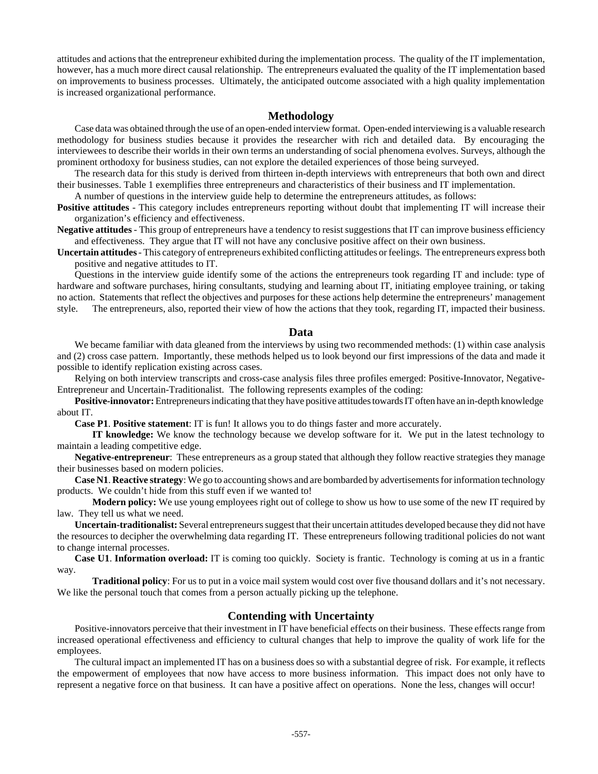attitudes and actions that the entrepreneur exhibited during the implementation process. The quality of the IT implementation, however, has a much more direct causal relationship. The entrepreneurs evaluated the quality of the IT implementation based on improvements to business processes. Ultimately, the anticipated outcome associated with a high quality implementation is increased organizational performance.

#### **Methodology**

Case data was obtained through the use of an open-ended interview format. Open-ended interviewing is a valuable research methodology for business studies because it provides the researcher with rich and detailed data. By encouraging the interviewees to describe their worlds in their own terms an understanding of social phenomena evolves. Surveys, although the prominent orthodoxy for business studies, can not explore the detailed experiences of those being surveyed.

The research data for this study is derived from thirteen in-depth interviews with entrepreneurs that both own and direct their businesses. Table 1 exemplifies three entrepreneurs and characteristics of their business and IT implementation.

A number of questions in the interview guide help to determine the entrepreneurs attitudes, as follows:

**Positive attitudes** - This category includes entrepreneurs reporting without doubt that implementing IT will increase their organization's efficiency and effectiveness.

**Negative attitudes** - This group of entrepreneurs have a tendency to resist suggestions that IT can improve business efficiency and effectiveness. They argue that IT will not have any conclusive positive affect on their own business.

**Uncertain attitudes** - This category of entrepreneurs exhibited conflicting attitudes or feelings. The entrepreneurs express both positive and negative attitudes to IT.

Questions in the interview guide identify some of the actions the entrepreneurs took regarding IT and include: type of hardware and software purchases, hiring consultants, studying and learning about IT, initiating employee training, or taking no action. Statements that reflect the objectives and purposes for these actions help determine the entrepreneurs' management style. The entrepreneurs, also, reported their view of how the actions that they took, regarding IT, impacted their business.

#### **Data**

We became familiar with data gleaned from the interviews by using two recommended methods: (1) within case analysis and (2) cross case pattern. Importantly, these methods helped us to look beyond our first impressions of the data and made it possible to identify replication existing across cases.

Relying on both interview transcripts and cross-case analysis files three profiles emerged: Positive-Innovator, Negative-Entrepreneur and Uncertain-Traditionalist. The following represents examples of the coding:

**Positive-innovator:** Entrepreneurs indicating that they have positive attitudes towards IT often have an in-depth knowledge about IT.

**Case P1**. **Positive statement**: IT is fun! It allows you to do things faster and more accurately.

**IT knowledge:** We know the technology because we develop software for it. We put in the latest technology to maintain a leading competitive edge.

**Negative-entrepreneur**: These entrepreneurs as a group stated that although they follow reactive strategies they manage their businesses based on modern policies.

**Case N1**. **Reactive strategy**: We go to accounting shows and are bombarded by advertisements for information technology products. We couldn't hide from this stuff even if we wanted to!

**Modern policy:** We use young employees right out of college to show us how to use some of the new IT required by law. They tell us what we need.

**Uncertain-traditionalist:** Several entrepreneurs suggest that their uncertain attitudes developed because they did not have the resources to decipher the overwhelming data regarding IT. These entrepreneurs following traditional policies do not want to change internal processes.

**Case U1**. **Information overload:** IT is coming too quickly. Society is frantic. Technology is coming at us in a frantic way.

**Traditional policy**: For us to put in a voice mail system would cost over five thousand dollars and it's not necessary. We like the personal touch that comes from a person actually picking up the telephone.

#### **Contending with Uncertainty**

Positive-innovators perceive that their investment in IT have beneficial effects on their business. These effects range from increased operational effectiveness and efficiency to cultural changes that help to improve the quality of work life for the employees.

The cultural impact an implemented IT has on a business does so with a substantial degree of risk. For example, it reflects the empowerment of employees that now have access to more business information. This impact does not only have to represent a negative force on that business. It can have a positive affect on operations. None the less, changes will occur!